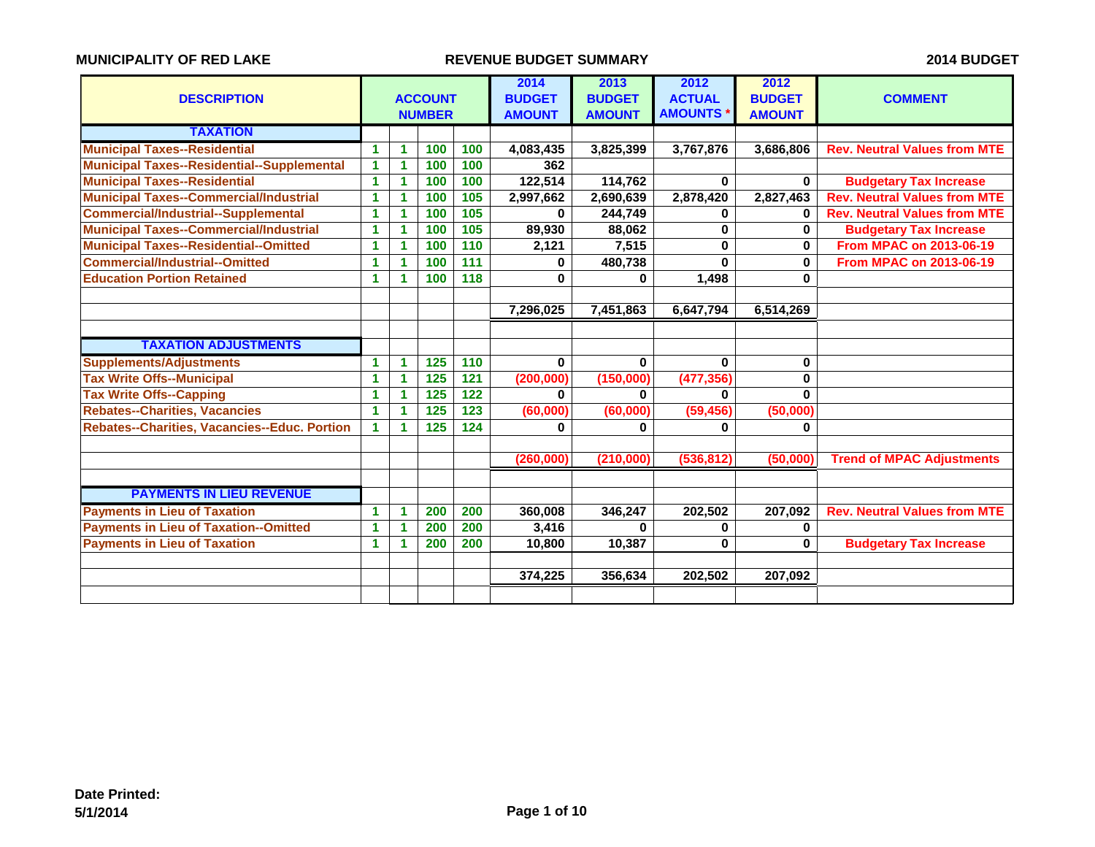| <b>DESCRIPTION</b>                                |   |    | <b>ACCOUNT</b><br><b>NUMBER</b> |                   | 2014<br><b>BUDGET</b><br><b>AMOUNT</b> | 2013<br><b>BUDGET</b><br><b>AMOUNT</b> | 2012<br><b>ACTUAL</b><br><b>AMOUNTS</b> | 2012<br><b>BUDGET</b><br><b>AMOUNT</b> | <b>COMMENT</b>                      |
|---------------------------------------------------|---|----|---------------------------------|-------------------|----------------------------------------|----------------------------------------|-----------------------------------------|----------------------------------------|-------------------------------------|
| <b>TAXATION</b>                                   |   |    |                                 |                   |                                        |                                        |                                         |                                        |                                     |
| <b>Municipal Taxes--Residential</b>               | 1 | 1  | 100                             | 100               | 4,083,435                              | 3,825,399                              | 3,767,876                               | 3,686,806                              | <b>Rev. Neutral Values from MTE</b> |
| <b>Municipal Taxes--Residential--Supplemental</b> | 1 | 1  | 100                             | 100               | 362                                    |                                        |                                         |                                        |                                     |
| <b>Municipal Taxes--Residential</b>               | 1 | 1  | 100                             | 100               | 122,514                                | 114,762                                | $\bf{0}$                                | $\mathbf{0}$                           | <b>Budgetary Tax Increase</b>       |
| <b>Municipal Taxes--Commercial/Industrial</b>     | 1 | 1  | 100                             | 105               | 2,997,662                              | 2,690,639                              | 2,878,420                               | 2,827,463                              | <b>Rev. Neutral Values from MTE</b> |
| <b>Commercial/Industrial--Supplemental</b>        | 1 | 1  | 100                             | 105               | 0                                      | 244,749                                | 0                                       | 0                                      | <b>Rev. Neutral Values from MTE</b> |
| <b>Municipal Taxes--Commercial/Industrial</b>     | 1 | 1  | 100                             | 105               | 89,930                                 | 88,062                                 | $\bf{0}$                                | $\mathbf{0}$                           | <b>Budgetary Tax Increase</b>       |
| <b>Municipal Taxes--Residential--Omitted</b>      | 1 | 1  | 100                             | $\frac{110}{110}$ | 2,121                                  | 7,515                                  | $\mathbf 0$                             | $\mathbf 0$                            | <b>From MPAC on 2013-06-19</b>      |
| <b>Commercial/Industrial--Omitted</b>             | 1 | 1. | 100                             | 111               | $\bf{0}$                               | 480,738                                | $\bf{0}$                                | $\mathbf{0}$                           | <b>From MPAC on 2013-06-19</b>      |
| <b>Education Portion Retained</b>                 | 1 | 1  | 100                             | 118               | $\bf{0}$                               | $\bf{0}$                               | 1,498                                   | $\mathbf{0}$                           |                                     |
|                                                   |   |    |                                 |                   |                                        |                                        |                                         |                                        |                                     |
|                                                   |   |    |                                 |                   | 7,296,025                              | 7,451,863                              | 6,647,794                               | 6,514,269                              |                                     |
|                                                   |   |    |                                 |                   |                                        |                                        |                                         |                                        |                                     |
| <b>TAXATION ADJUSTMENTS</b>                       |   |    |                                 |                   |                                        |                                        |                                         |                                        |                                     |
| <b>Supplements/Adjustments</b>                    | 1 | 1. | 125                             | 110               | $\mathbf{0}$                           | 0                                      | $\bf{0}$                                | 0                                      |                                     |
| <b>Tax Write Offs--Municipal</b>                  | 1 | 1  | $\overline{125}$                | 121               | (200, 000)                             | (150,000)                              | (477, 356)                              | 0                                      |                                     |
| <b>Tax Write Offs--Capping</b>                    | 1 | 1  | $\overline{125}$                | $\overline{122}$  | $\bf{0}$                               | 0                                      | <sup>0</sup>                            | $\mathbf{0}$                           |                                     |
| <b>Rebates--Charities, Vacancies</b>              | 1 | 1  | 125                             | 123               | (60,000)                               | (60,000)                               | (59, 456)                               | (50,000)                               |                                     |
| Rebates--Charities, Vacancies--Educ. Portion      | 1 | 1  | $\overline{125}$                | $\overline{124}$  | 0                                      | 0                                      | 0                                       | 0                                      |                                     |
|                                                   |   |    |                                 |                   |                                        |                                        |                                         |                                        |                                     |
|                                                   |   |    |                                 |                   | (260,000)                              | (210,000)                              | (536, 812)                              | (50,000)                               | <b>Trend of MPAC Adjustments</b>    |
|                                                   |   |    |                                 |                   |                                        |                                        |                                         |                                        |                                     |
| <b>PAYMENTS IN LIEU REVENUE</b>                   |   |    |                                 |                   |                                        |                                        |                                         |                                        |                                     |
| <b>Payments in Lieu of Taxation</b>               | 1 | 1. | 200                             | 200               | 360,008                                | 346,247                                | 202,502                                 | 207,092                                | <b>Rev. Neutral Values from MTE</b> |
| <b>Payments in Lieu of Taxation--Omitted</b>      | 1 |    | 200                             | 200               | 3,416                                  | $\mathbf{0}$                           | 0                                       | 0                                      |                                     |
| <b>Payments in Lieu of Taxation</b>               | 1 | 1  | 200                             | 200               | 10,800                                 | 10,387                                 | 0                                       | 0                                      | <b>Budgetary Tax Increase</b>       |
|                                                   |   |    |                                 |                   |                                        |                                        |                                         |                                        |                                     |
|                                                   |   |    |                                 |                   | 374,225                                | 356,634                                | 202,502                                 | 207,092                                |                                     |
|                                                   |   |    |                                 |                   |                                        |                                        |                                         |                                        |                                     |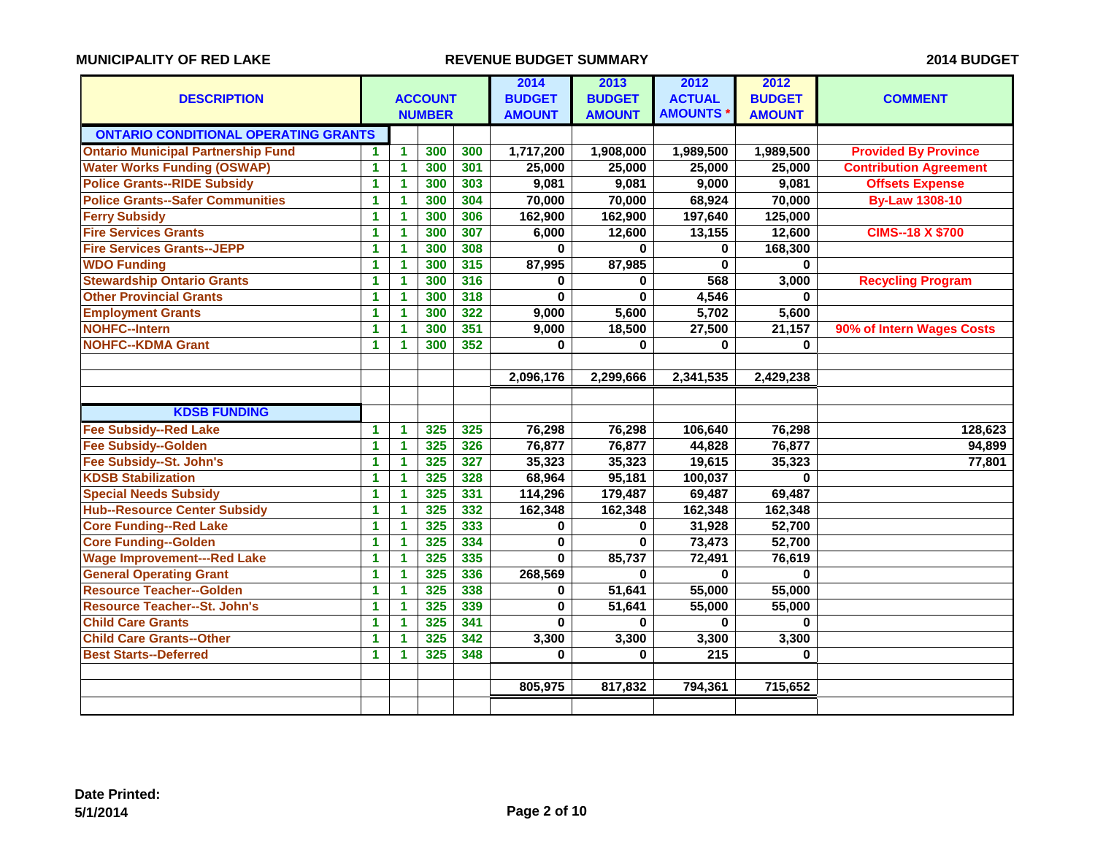| <b>DESCRIPTION</b>                          |                      |                | <b>ACCOUNT</b><br><b>NUMBER</b> |     | 2014<br><b>BUDGET</b><br><b>AMOUNT</b> | 2013<br><b>BUDGET</b><br><b>AMOUNT</b> | 2012<br><b>ACTUAL</b><br><b>AMOUNTS</b> | 2012<br><b>BUDGET</b><br><b>AMOUNT</b> | <b>COMMENT</b>                |
|---------------------------------------------|----------------------|----------------|---------------------------------|-----|----------------------------------------|----------------------------------------|-----------------------------------------|----------------------------------------|-------------------------------|
| <b>ONTARIO CONDITIONAL OPERATING GRANTS</b> |                      |                |                                 |     |                                        |                                        |                                         |                                        |                               |
| <b>Ontario Municipal Partnership Fund</b>   | 1                    | $\blacksquare$ | 300                             | 300 | 1,717,200                              | 1,908,000                              | 1,989,500                               | 1,989,500                              | <b>Provided By Province</b>   |
| <b>Water Works Funding (OSWAP)</b>          | 1                    | 1              | 300                             | 301 | 25,000                                 | 25,000                                 | 25,000                                  | 25,000                                 | <b>Contribution Agreement</b> |
| <b>Police Grants--RIDE Subsidy</b>          | $\blacktriangleleft$ | $\mathbf{1}$   | 300                             | 303 | 9,081                                  | 9,081                                  | 9,000                                   | 9,081                                  | <b>Offsets Expense</b>        |
| <b>Police Grants--Safer Communities</b>     | 1                    | 1              | 300                             | 304 | 70,000                                 | 70,000                                 | 68,924                                  | 70,000                                 | <b>By-Law 1308-10</b>         |
| <b>Ferry Subsidy</b>                        | 1                    | $\mathbf{1}$   | 300                             | 306 | 162,900                                | 162,900                                | 197,640                                 | 125,000                                |                               |
| <b>Fire Services Grants</b>                 | $\mathbf{1}$         | $\mathbf{1}$   | 300                             | 307 | 6,000                                  | 12,600                                 | 13,155                                  | 12,600                                 | <b>CIMS--18 X \$700</b>       |
| <b>Fire Services Grants--JEPP</b>           | $\mathbf{1}$         | 1              | 300                             | 308 | 0                                      | 0                                      | $\bf{0}$                                | 168,300                                |                               |
| <b>WDO Funding</b>                          | 1                    | $\mathbf{1}$   | 300                             | 315 | 87,995                                 | 87,985                                 | 0                                       | 0                                      |                               |
| <b>Stewardship Ontario Grants</b>           | 1                    | $\mathbf{1}$   | 300                             | 316 | 0                                      | 0                                      | 568                                     | 3,000                                  | <b>Recycling Program</b>      |
| <b>Other Provincial Grants</b>              | 1                    | $\mathbf{1}$   | 300                             | 318 | $\bf{0}$                               | $\bf{0}$                               | 4,546                                   | $\bf{0}$                               |                               |
| <b>Employment Grants</b>                    | 1                    | 1.             | 300                             | 322 | 9,000                                  | 5,600                                  | 5,702                                   | 5,600                                  |                               |
| <b>NOHFC--Intern</b>                        | $\blacktriangleleft$ | 1              | 300                             | 351 | 9,000                                  | 18,500                                 | 27,500                                  | 21,157                                 | 90% of Intern Wages Costs     |
| <b>NOHFC--KDMA Grant</b>                    | 1                    | $\mathbf{1}$   | 300                             | 352 | 0                                      | 0                                      | $\mathbf 0$                             | $\bf{0}$                               |                               |
|                                             |                      |                |                                 |     |                                        |                                        |                                         |                                        |                               |
|                                             |                      |                |                                 |     | 2,096,176                              | 2,299,666                              | 2,341,535                               | 2,429,238                              |                               |
|                                             |                      |                |                                 |     |                                        |                                        |                                         |                                        |                               |
| <b>KDSB FUNDING</b>                         |                      |                |                                 |     |                                        |                                        |                                         |                                        |                               |
| <b>Fee Subsidy--Red Lake</b>                | 1                    | $\mathbf{1}$   | 325                             | 325 | 76,298                                 | 76,298                                 | 106,640                                 | 76,298                                 | 128,623                       |
| <b>Fee Subsidy--Golden</b>                  | $\mathbf{1}$         | 1              | 325                             | 326 | 76,877                                 | 76,877                                 | 44,828                                  | 76,877                                 | 94,899                        |
| Fee Subsidy--St. John's                     | 1                    | $\mathbf{1}$   | 325                             | 327 | 35,323                                 | 35,323                                 | 19,615                                  | 35,323                                 | 77,801                        |
| <b>KDSB Stabilization</b>                   | 1                    | 1              | 325                             | 328 | 68,964                                 | 95,181                                 | 100,037                                 | 0                                      |                               |
| <b>Special Needs Subsidy</b>                | $\blacktriangleleft$ | 1              | 325                             | 331 | 114,296                                | 179,487                                | 69,487                                  | 69,487                                 |                               |
| <b>Hub--Resource Center Subsidy</b>         | 1                    | $\mathbf{1}$   | 325                             | 332 | 162,348                                | 162,348                                | 162,348                                 | 162,348                                |                               |
| <b>Core Funding--Red Lake</b>               | 1                    | 1              | 325                             | 333 | 0                                      | 0                                      | 31,928                                  | 52,700                                 |                               |
| <b>Core Funding--Golden</b>                 | $\mathbf{1}$         | 1              | 325                             | 334 | 0                                      | $\bf{0}$                               | 73,473                                  | 52,700                                 |                               |
| <b>Wage Improvement---Red Lake</b>          | $\blacktriangleleft$ | $\mathbf{1}$   | 325                             | 335 | $\mathbf{0}$                           | 85,737                                 | 72,491                                  | 76,619                                 |                               |
| <b>General Operating Grant</b>              | $\mathbf{1}$         | 1              | 325                             | 336 | 268,569                                | $\bf{0}$                               | $\bf{0}$                                | $\Omega$                               |                               |
| <b>Resource Teacher--Golden</b>             | $\blacktriangleleft$ | $\mathbf{1}$   | 325                             | 338 | 0                                      | 51,641                                 | 55,000                                  | 55,000                                 |                               |
| <b>Resource Teacher--St. John's</b>         | 1                    | 1              | 325                             | 339 | 0                                      | 51,641                                 | 55,000                                  | 55,000                                 |                               |
| <b>Child Care Grants</b>                    | 1                    | 1.             | 325                             | 341 | $\mathbf{0}$                           | 0                                      | $\bf{0}$                                | $\bf{0}$                               |                               |
| <b>Child Care Grants--Other</b>             | 1                    | 1              | 325                             | 342 | 3,300                                  | 3,300                                  | 3,300                                   | 3,300                                  |                               |
| <b>Best Starts--Deferred</b>                | 1                    | $\mathbf{1}$   | 325                             | 348 | 0                                      | $\bf{0}$                               | $\overline{215}$                        | $\bf{0}$                               |                               |
|                                             |                      |                |                                 |     |                                        |                                        |                                         |                                        |                               |
|                                             |                      |                |                                 |     | 805,975                                | 817,832                                | 794,361                                 | 715,652                                |                               |
|                                             |                      |                |                                 |     |                                        |                                        |                                         |                                        |                               |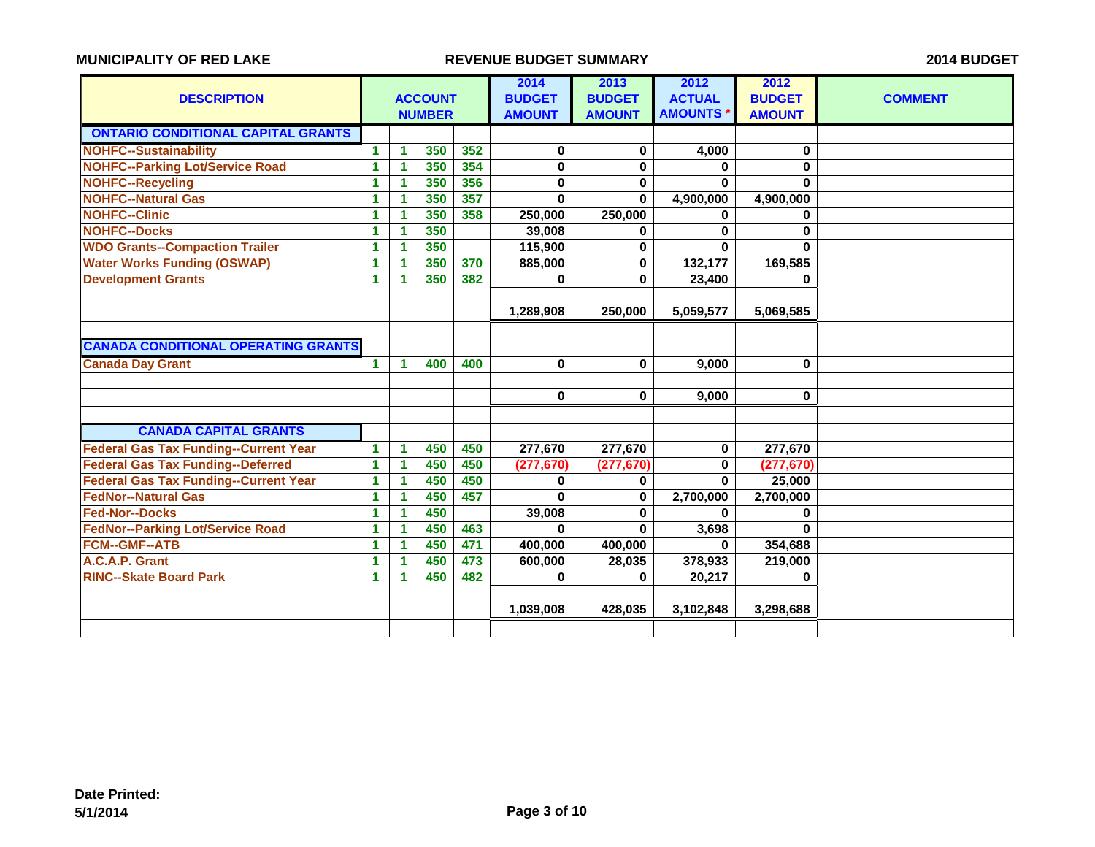|                                              |                      |                      |                |     | 2014          | 2013          | 2012           | 2012          |                |
|----------------------------------------------|----------------------|----------------------|----------------|-----|---------------|---------------|----------------|---------------|----------------|
| <b>DESCRIPTION</b>                           |                      |                      | <b>ACCOUNT</b> |     | <b>BUDGET</b> | <b>BUDGET</b> | <b>ACTUAL</b>  | <b>BUDGET</b> | <b>COMMENT</b> |
|                                              |                      |                      | <b>NUMBER</b>  |     | <b>AMOUNT</b> | <b>AMOUNT</b> | <b>AMOUNTS</b> | <b>AMOUNT</b> |                |
| <b>ONTARIO CONDITIONAL CAPITAL GRANTS</b>    |                      |                      |                |     |               |               |                |               |                |
| <b>NOHFC--Sustainability</b>                 | 1.                   | 1                    | 350            | 352 | 0             | 0             | 4,000          | 0             |                |
| <b>NOHFC--Parking Lot/Service Road</b>       | 1                    | 1                    | 350            | 354 | $\mathbf 0$   | $\bf{0}$      | 0              | $\mathbf 0$   |                |
| <b>NOHFC--Recycling</b>                      | 1                    | 1                    | 350            | 356 | 0             | 0             | $\bf{0}$       | $\bf{0}$      |                |
| <b>NOHFC--Natural Gas</b>                    | 1                    | 1                    | 350            | 357 | $\bf{0}$      | $\bf{0}$      | 4,900,000      | 4,900,000     |                |
| <b>NOHFC--Clinic</b>                         | $\blacktriangleleft$ | 1                    | 350            | 358 | 250,000       | 250,000       | $\bf{0}$       | $\bf{0}$      |                |
| <b>NOHFC--Docks</b>                          | 1                    | 1                    | 350            |     | 39,008        | 0             | 0              | $\bf{0}$      |                |
| <b>WDO Grants--Compaction Trailer</b>        | 1                    | 1                    | 350            |     | 115,900       | $\bf{0}$      | $\bf{0}$       | $\bf{0}$      |                |
| <b>Water Works Funding (OSWAP)</b>           | 1                    | 1                    | 350            | 370 | 885,000       | $\bf{0}$      | 132,177        | 169,585       |                |
| <b>Development Grants</b>                    | 1                    | 1                    | 350            | 382 | 0             | $\mathbf{0}$  | 23,400         | 0             |                |
|                                              |                      |                      |                |     |               |               |                |               |                |
|                                              |                      |                      |                |     | 1,289,908     | 250,000       | 5,059,577      | 5,069,585     |                |
|                                              |                      |                      |                |     |               |               |                |               |                |
| <b>CANADA CONDITIONAL OPERATING GRANTS</b>   |                      |                      |                |     |               |               |                |               |                |
| <b>Canada Day Grant</b>                      | $\mathbf{1}$         | 1                    | 400            | 400 | $\bf{0}$      | $\bf{0}$      | 9.000          | $\mathbf 0$   |                |
|                                              |                      |                      |                |     |               |               |                |               |                |
|                                              |                      |                      |                |     | 0             | $\bf{0}$      | 9,000          | $\bf{0}$      |                |
|                                              |                      |                      |                |     |               |               |                |               |                |
| <b>CANADA CAPITAL GRANTS</b>                 |                      |                      |                |     |               |               |                |               |                |
| <b>Federal Gas Tax Funding--Current Year</b> | 1                    | 1                    | 450            | 450 | 277,670       | 277,670       | $\bf{0}$       | 277,670       |                |
| <b>Federal Gas Tax Funding--Deferred</b>     | 1                    | 1                    | 450            | 450 | (277, 670)    | (277, 670)    | 0              | (277, 670)    |                |
| <b>Federal Gas Tax Funding--Current Year</b> | 1                    | 1                    | 450            | 450 | 0             | 0             | $\bf{0}$       | 25,000        |                |
| <b>FedNor--Natural Gas</b>                   | 1                    | 1                    | 450            | 457 | $\bf{0}$      | $\bf{0}$      | 2,700,000      | 2,700,000     |                |
| <b>Fed-Nor--Docks</b>                        | 1                    | 1                    | 450            |     | 39,008        | 0             | $\bf{0}$       | 0             |                |
| <b>FedNor--Parking Lot/Service Road</b>      | 1                    | 1                    | 450            | 463 | $\Omega$      | $\mathbf{0}$  | 3,698          | $\mathbf{0}$  |                |
| <b>FCM--GMF--ATB</b>                         | 1                    | $\blacktriangleleft$ | 450            | 471 | 400,000       | 400,000       | $\bf{0}$       | 354,688       |                |
| A.C.A.P. Grant                               | 1                    | 1                    | 450            | 473 | 600,000       | 28,035        | 378,933        | 219,000       |                |
| <b>RINC--Skate Board Park</b>                | 1                    | 1                    | 450            | 482 | $\bf{0}$      | $\bf{0}$      | 20,217         | 0             |                |
|                                              |                      |                      |                |     |               |               |                |               |                |
|                                              |                      |                      |                |     | 1,039,008     | 428,035       | 3,102,848      | 3,298,688     |                |
|                                              |                      |                      |                |     |               |               |                |               |                |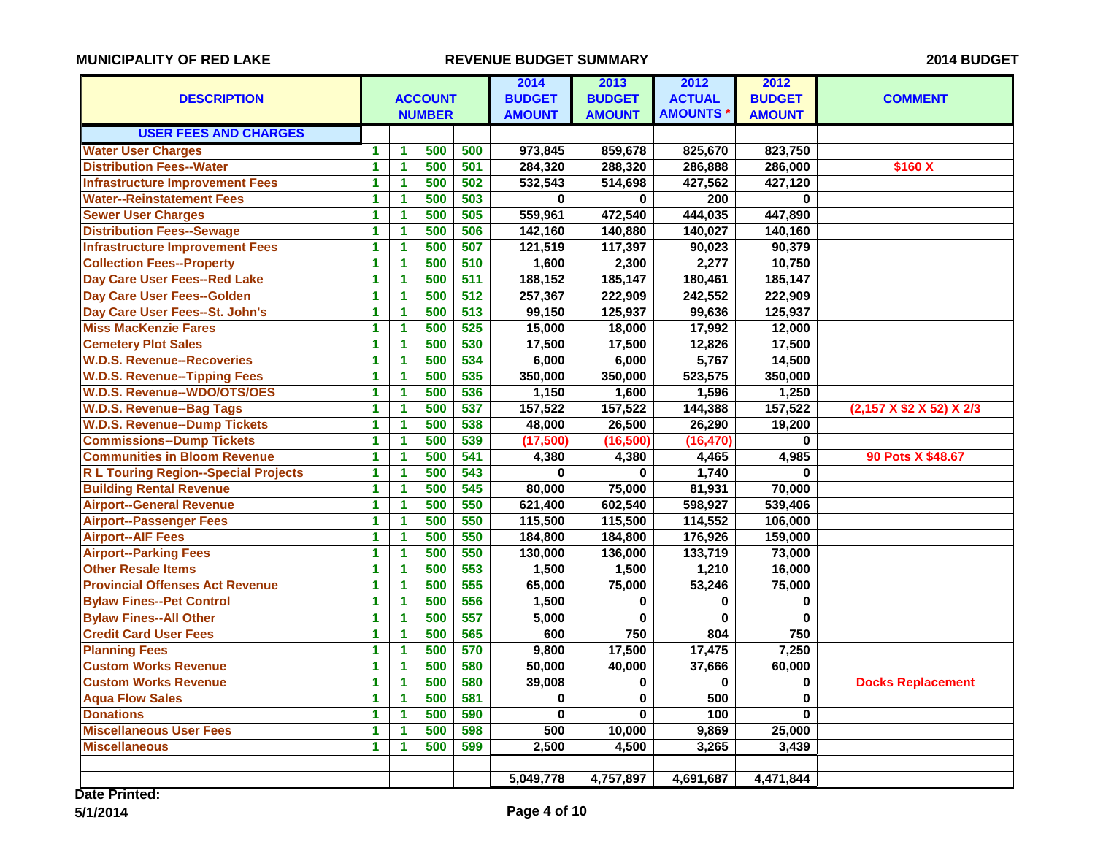|                                             |                      |                      |                | 2014             | 2013          | 2012          | 2012               |               |                          |
|---------------------------------------------|----------------------|----------------------|----------------|------------------|---------------|---------------|--------------------|---------------|--------------------------|
| <b>DESCRIPTION</b>                          |                      |                      | <b>ACCOUNT</b> |                  | <b>BUDGET</b> | <b>BUDGET</b> | <b>ACTUAL</b>      | <b>BUDGET</b> | <b>COMMENT</b>           |
|                                             |                      |                      | <b>NUMBER</b>  |                  | <b>AMOUNT</b> | <b>AMOUNT</b> | <b>AMOUNTS</b>     | <b>AMOUNT</b> |                          |
| <b>USER FEES AND CHARGES</b>                |                      |                      |                |                  |               |               |                    |               |                          |
| <b>Water User Charges</b>                   | 1                    | $\mathbf{1}$         | 500            | 500              | 973,845       | 859,678       | 825,670            | 823,750       |                          |
| <b>Distribution Fees--Water</b>             | 1                    | $\mathbf{1}$         | 500            | 501              | 284,320       | 288,320       | 286,888            | 286,000       | \$160 X                  |
| <b>Infrastructure Improvement Fees</b>      | 1                    | 1                    | 500            | 502              | 532,543       | 514,698       | 427,562            | 427,120       |                          |
| <b>Water--Reinstatement Fees</b>            | 1                    | 1                    | 500            | 503              | $\mathbf{0}$  | 0             | $\overline{200}$   | $\bf{0}$      |                          |
| <b>Sewer User Charges</b>                   | 1                    | 1                    | 500            | 505              | 559,961       | 472,540       | 444,035            | 447,890       |                          |
| <b>Distribution Fees--Sewage</b>            | 1                    | 1                    | 500            | 506              | 142,160       | 140,880       | 140,027            | 140,160       |                          |
| <b>Infrastructure Improvement Fees</b>      | 1                    | $\blacktriangleleft$ | 500            | 507              | 121,519       | 117,397       | 90,023             | 90,379        |                          |
| <b>Collection Fees--Property</b>            | 1                    | $\blacktriangleleft$ | 500            | 510              | 1,600         | 2,300         | 2,277              | 10,750        |                          |
| Day Care User Fees--Red Lake                | 1                    | 1                    | 500            | 511              | 188,152       | 185,147       | 180,461            | 185,147       |                          |
| <b>Day Care User Fees--Golden</b>           | 1                    | 1                    | 500            | 512              | 257,367       | 222,909       | 242,552            | 222,909       |                          |
| Day Care User Fees--St. John's              | 1                    | 1                    | 500            | $\overline{513}$ | 99,150        | 125,937       | 99,636             | 125,937       |                          |
| <b>Miss MacKenzie Fares</b>                 | $\overline{1}$       | $\overline{1}$       | 500            | 525              | 15,000        | 18,000        | 17,992             | 12,000        |                          |
| <b>Cemetery Plot Sales</b>                  | 1                    | 1                    | 500            | 530              | 17,500        | 17,500        | 12,826             | 17,500        |                          |
| <b>W.D.S. Revenue--Recoveries</b>           | 1                    | 1                    | 500            | 534              | 6,000         | 6,000         | $\overline{5,767}$ | 14,500        |                          |
| <b>W.D.S. Revenue--Tipping Fees</b>         | 1.                   | $\mathbf{1}$         | 500            | 535              | 350,000       | 350,000       | 523,575            | 350,000       |                          |
| <b>W.D.S. Revenue--WDO/OTS/OES</b>          | 1                    | 1                    | 500            | 536              | 1,150         | 1,600         | 1,596              | 1,250         |                          |
| <b>W.D.S. Revenue--Bag Tags</b>             | 1                    | 1                    | 500            | 537              | 157,522       | 157,522       | 144,388            | 157,522       | (2,157 X \$2 X 52) X 2/3 |
| <b>W.D.S. Revenue--Dump Tickets</b>         | 1                    | $\blacktriangleleft$ | 500            | 538              | 48,000        | 26,500        | 26,290             | 19,200        |                          |
| <b>Commissions--Dump Tickets</b>            | 1                    | 1                    | 500            | 539              | (17,500)      | (16, 500)     | (16, 470)          | $\bf{0}$      |                          |
| <b>Communities in Bloom Revenue</b>         | 1                    | $\overline{1}$       | 500            | 541              | 4,380         | 4,380         | 4,465              | 4,985         | 90 Pots X \$48.67        |
| <b>R L Touring Region--Special Projects</b> | 1                    | $\blacktriangleleft$ | 500            | 543              | $\bf{0}$      | $\bf{0}$      | 1,740              | $\bf{0}$      |                          |
| <b>Building Rental Revenue</b>              | 1                    | 1                    | 500            | 545              | 80,000        | 75,000        | 81,931             | 70,000        |                          |
| <b>Airport--General Revenue</b>             | 1                    | 1.                   | 500            | 550              | 621,400       | 602,540       | 598,927            | 539,406       |                          |
| <b>Airport--Passenger Fees</b>              | 1                    | $\blacktriangleleft$ | 500            | 550              | 115,500       | 115,500       | 114,552            | 106,000       |                          |
| <b>Airport--AIF Fees</b>                    | $\mathbf{1}$         | 1                    | 500            | 550              | 184,800       | 184,800       | 176,926            | 159,000       |                          |
| <b>Airport--Parking Fees</b>                | 1                    | 1                    | 500            | 550              | 130,000       | 136,000       | 133,719            | 73,000        |                          |
| <b>Other Resale Items</b>                   | 1                    | $\mathbf{1}$         | 500            | 553              | 1,500         | 1,500         | 1,210              | 16,000        |                          |
| <b>Provincial Offenses Act Revenue</b>      | 1                    | $\blacktriangleleft$ | 500            | 555              | 65,000        | 75,000        | 53,246             | 75,000        |                          |
| <b>Bylaw Fines--Pet Control</b>             | 1                    | 1                    | 500            | 556              | 1,500         | 0             | $\bf{0}$           | $\mathbf 0$   |                          |
| <b>Bylaw Fines--All Other</b>               | 1                    | 1                    | 500            | 557              | 5,000         | $\bf{0}$      | $\bf{0}$           | $\bf{0}$      |                          |
| <b>Credit Card User Fees</b>                | $\blacktriangleleft$ | $\blacktriangleleft$ | 500            | 565              | 600           | 750           | 804                | 750           |                          |
| <b>Planning Fees</b>                        | 1                    | 1                    | 500            | 570              | 9,800         | 17,500        | 17,475             | 7,250         |                          |
| <b>Custom Works Revenue</b>                 | 1                    | $\overline{1}$       | 500            | 580              | 50,000        | 40,000        | 37,666             | 60,000        |                          |
| <b>Custom Works Revenue</b>                 | $\mathbf{1}$         | $\blacktriangleleft$ | 500            | 580              | 39,008        | $\bf{0}$      | $\bf{0}$           | $\mathbf 0$   | <b>Docks Replacement</b> |
| <b>Aqua Flow Sales</b>                      | 1                    | 1                    | 500            | 581              | 0             | $\bf{0}$      | 500                | $\bf{0}$      |                          |
| <b>Donations</b>                            | 1                    | 1.                   | 500            | 590              | $\bf{0}$      | $\mathbf 0$   | 100                | $\bf{0}$      |                          |
| <b>Miscellaneous User Fees</b>              | 1                    | 1                    | 500            | 598              | 500           | 10,000        | 9,869              | 25,000        |                          |
| <b>Miscellaneous</b>                        | $\mathbf{1}$         | 1                    | 500            | 599              | 2,500         | 4,500         | 3,265              | 3,439         |                          |
|                                             |                      |                      |                |                  |               |               |                    |               |                          |
|                                             |                      |                      |                |                  | 5,049,778     | 4,757,897     | 4,691,687          | 4,471,844     |                          |

**Date Printed:**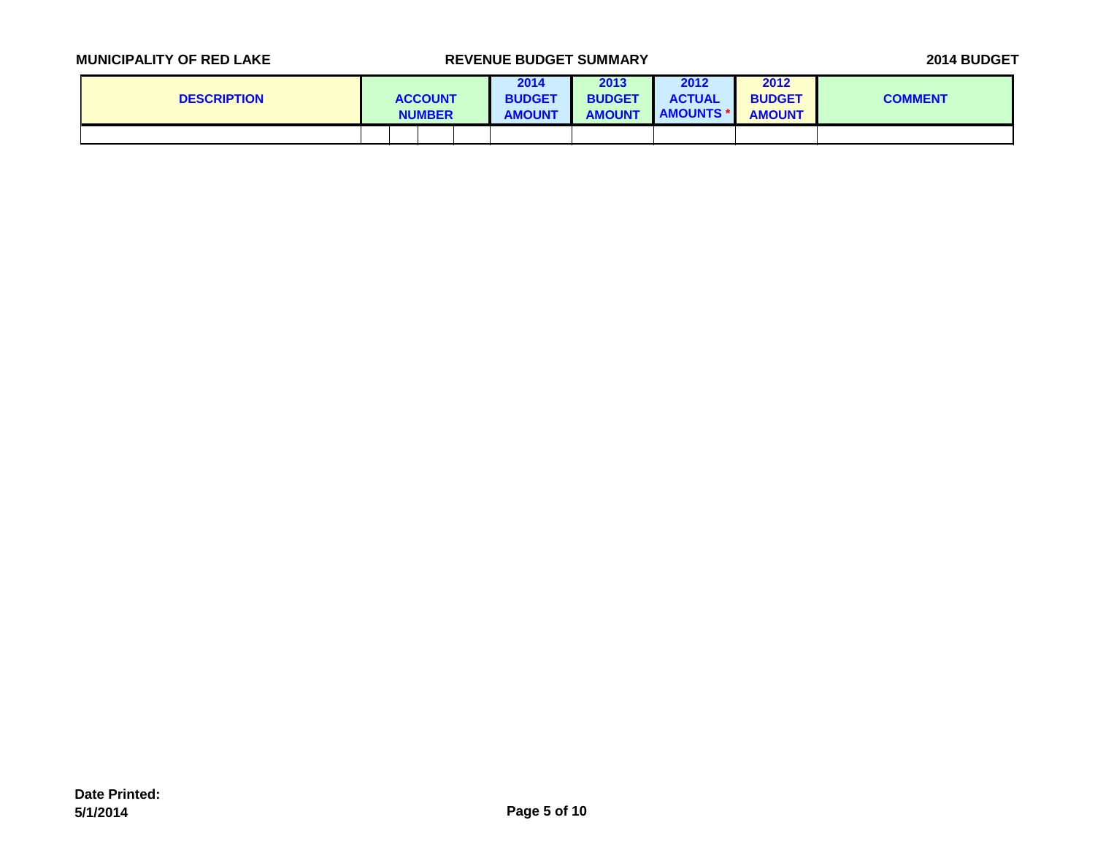| <b>DESCRIPTION</b> |  | <b>ACCOUNT</b><br><b>NUMBER</b> | 2014<br><b>BUDGET</b><br><b>AMOUNT</b> | 2013<br><b>BUDGET</b><br><b>AMOUNT</b> | 2012<br><b>ACTUAL</b><br><b>AMOUNTS *</b> | 2012<br><b>BUDGET</b><br><b>AMOUNT</b> | <b>COMMENT</b> |
|--------------------|--|---------------------------------|----------------------------------------|----------------------------------------|-------------------------------------------|----------------------------------------|----------------|
|                    |  |                                 |                                        |                                        |                                           |                                        |                |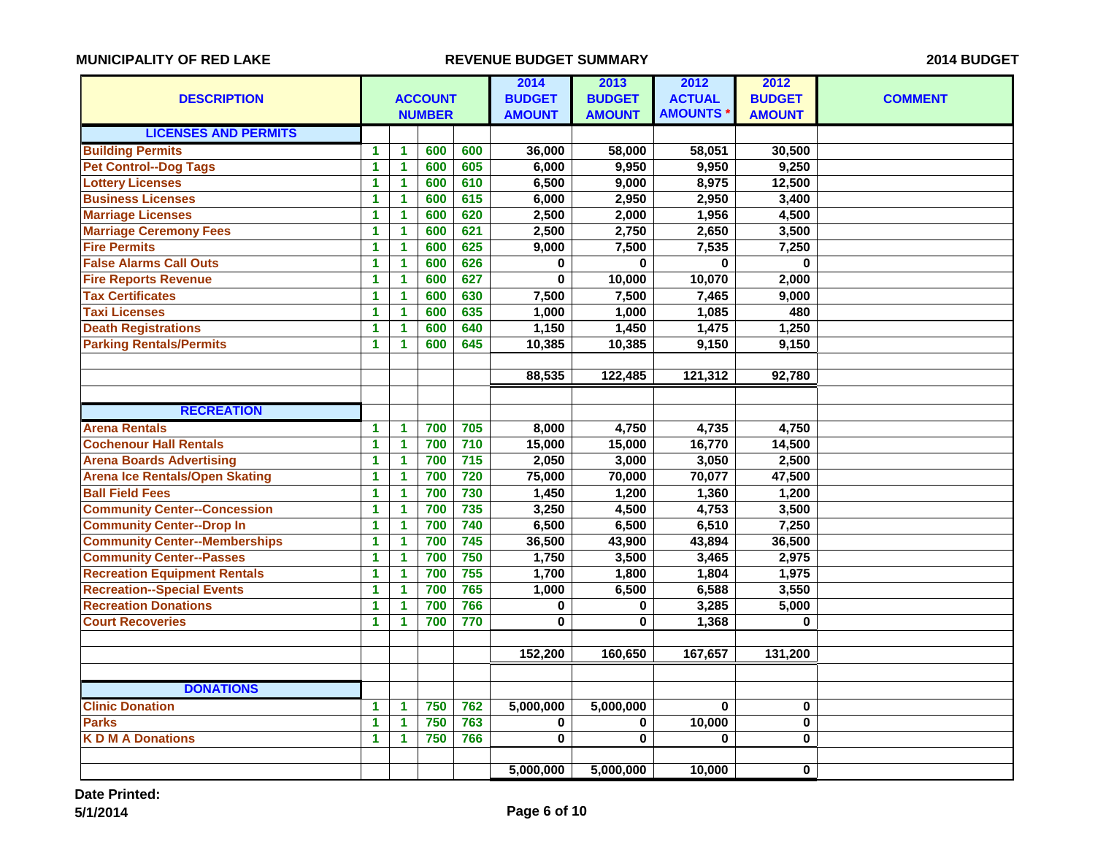| <b>DESCRIPTION</b>                    | <b>ACCOUNT</b>       |                | 2014<br><b>BUDGET</b> | 2013<br><b>BUDGET</b> | 2012<br><b>ACTUAL</b> | 2012<br><b>BUDGET</b> | <b>COMMENT</b> |               |  |
|---------------------------------------|----------------------|----------------|-----------------------|-----------------------|-----------------------|-----------------------|----------------|---------------|--|
|                                       |                      |                | <b>NUMBER</b>         |                       | <b>AMOUNT</b>         | <b>AMOUNT</b>         | <b>AMOUNTS</b> | <b>AMOUNT</b> |  |
| <b>LICENSES AND PERMITS</b>           |                      |                |                       |                       |                       |                       |                |               |  |
| <b>Building Permits</b>               | $\blacktriangleleft$ | 1              | 600                   | 600                   | 36,000                | 58,000                | 58,051         | 30,500        |  |
| <b>Pet Control--Dog Tags</b>          | $\mathbf{1}$         | $\mathbf{1}$   | 600                   | 605                   | 6,000                 | 9,950                 | 9,950          | 9,250         |  |
| <b>Lottery Licenses</b>               | $\mathbf{1}$         | 1              | 600                   | 610                   | 6,500                 | 9,000                 | 8,975          | 12,500        |  |
| <b>Business Licenses</b>              | $\mathbf{1}$         | 1              | 600                   | 615                   | 6,000                 | 2,950                 | 2,950          | 3,400         |  |
| <b>Marriage Licenses</b>              | 1                    | 1              | 600                   | 620                   | 2,500                 | 2,000                 | 1,956          | 4,500         |  |
| <b>Marriage Ceremony Fees</b>         | $\blacktriangleleft$ | $\mathbf{1}$   | 600                   | 621                   | 2,500                 | 2,750                 | 2,650          | 3,500         |  |
| <b>Fire Permits</b>                   | $\mathbf{1}$         | $\blacksquare$ | 600                   | 625                   | 9,000                 | 7,500                 | 7,535          | 7,250         |  |
| <b>False Alarms Call Outs</b>         | $\blacktriangleleft$ | $\blacksquare$ | 600                   | 626                   | 0                     | 0                     | $\bf{0}$       | $\bf{0}$      |  |
| <b>Fire Reports Revenue</b>           | $\mathbf{1}$         | $\mathbf{1}$   | 600                   | 627                   | $\bf{0}$              | 10,000                | 10,070         | 2,000         |  |
| <b>Tax Certificates</b>               | $\mathbf{1}$         | 1              | 600                   | 630                   | 7,500                 | 7,500                 | 7,465          | 9,000         |  |
| <b>Taxi Licenses</b>                  | $\mathbf{1}$         | 1              | 600                   | 635                   | 1,000                 | 1,000                 | 1,085          | 480           |  |
| <b>Death Registrations</b>            | 1                    | 1              | 600                   | 640                   | 1,150                 | 1,450                 | 1,475          | 1,250         |  |
| <b>Parking Rentals/Permits</b>        | $\blacktriangleleft$ | 1              | 600                   | 645                   | 10,385                | 10,385                | 9,150          | 9,150         |  |
|                                       |                      |                |                       |                       |                       |                       |                |               |  |
|                                       |                      |                |                       |                       | 88,535                | 122,485               | 121,312        | 92,780        |  |
|                                       |                      |                |                       |                       |                       |                       |                |               |  |
| <b>RECREATION</b>                     |                      |                |                       |                       |                       |                       |                |               |  |
| <b>Arena Rentals</b>                  | $\mathbf 1$          | $\mathbf{1}$   | 700                   | 705                   | 8,000                 | 4,750                 | 4,735          | 4,750         |  |
| <b>Cochenour Hall Rentals</b>         | $\mathbf{1}$         | 1              | 700                   | 710                   | 15,000                | 15,000                | 16,770         | 14,500        |  |
| <b>Arena Boards Advertising</b>       | 1                    | 1              | 700                   | $715$                 | 2,050                 | 3,000                 | 3,050          | 2,500         |  |
| <b>Arena Ice Rentals/Open Skating</b> | $\mathbf{1}$         | $\mathbf{1}$   | 700                   | 720                   | 75,000                | 70,000                | 70,077         | 47,500        |  |
| <b>Ball Field Fees</b>                | 1                    | 1              | 700                   | 730                   | 1,450                 | 1,200                 | 1,360          | 1,200         |  |
| <b>Community Center--Concession</b>   | $\mathbf{1}$         | $\mathbf{1}$   | 700                   | 735                   | 3,250                 | 4,500                 | 4,753          | 3,500         |  |
| <b>Community Center--Drop In</b>      | 1                    | $\blacksquare$ | 700                   | 740                   | 6,500                 | 6,500                 | 6,510          | 7,250         |  |
| <b>Community Center--Memberships</b>  | $\blacktriangleleft$ | 1              | 700                   | 745                   | 36,500                | 43,900                | 43,894         | 36,500        |  |
| <b>Community Center--Passes</b>       | $\blacktriangleleft$ | $\mathbf{1}$   | 700                   | 750                   | 1,750                 | 3,500                 | 3,465          | 2,975         |  |
| <b>Recreation Equipment Rentals</b>   | $\overline{1}$       | $\overline{1}$ | 700                   | $\overline{755}$      | 1,700                 | 1,800                 | 1,804          | 1,975         |  |
| <b>Recreation--Special Events</b>     | $\mathbf{1}$         | 1              | 700                   | 765                   | 1,000                 | 6,500                 | 6,588          | 3,550         |  |
| <b>Recreation Donations</b>           | 1                    | 1              | 700                   | 766                   | $\bf{0}$              | $\bf{0}$              | 3,285          | 5,000         |  |
| <b>Court Recoveries</b>               | $\blacktriangleleft$ | 1              | 700                   | 770                   | 0                     | $\mathbf 0$           | 1,368          | $\bf{0}$      |  |
|                                       |                      |                |                       |                       |                       |                       |                |               |  |
|                                       |                      |                |                       |                       | 152,200               | 160,650               | 167,657        | 131,200       |  |
|                                       |                      |                |                       |                       |                       |                       |                |               |  |
| <b>DONATIONS</b>                      |                      |                |                       |                       |                       |                       |                |               |  |
| <b>Clinic Donation</b>                | $\blacktriangleleft$ | 1              | 750                   | 762                   | 5,000,000             | 5,000,000             | $\bf{0}$       | 0             |  |
| <b>Parks</b>                          | $\blacktriangleleft$ | $\mathbf{1}$   | 750                   | 763                   | $\bf{0}$              | $\mathbf 0$           | 10,000         | $\mathbf{0}$  |  |
| <b>KDMADonations</b>                  | $\blacktriangleleft$ | $\mathbf{1}$   | 750                   | 766                   | $\mathbf 0$           | $\mathbf 0$           | $\bf{0}$       | 0             |  |
|                                       |                      |                |                       |                       |                       |                       |                |               |  |
|                                       |                      |                |                       |                       | 5,000,000             | 5,000,000             | 10,000         | 0             |  |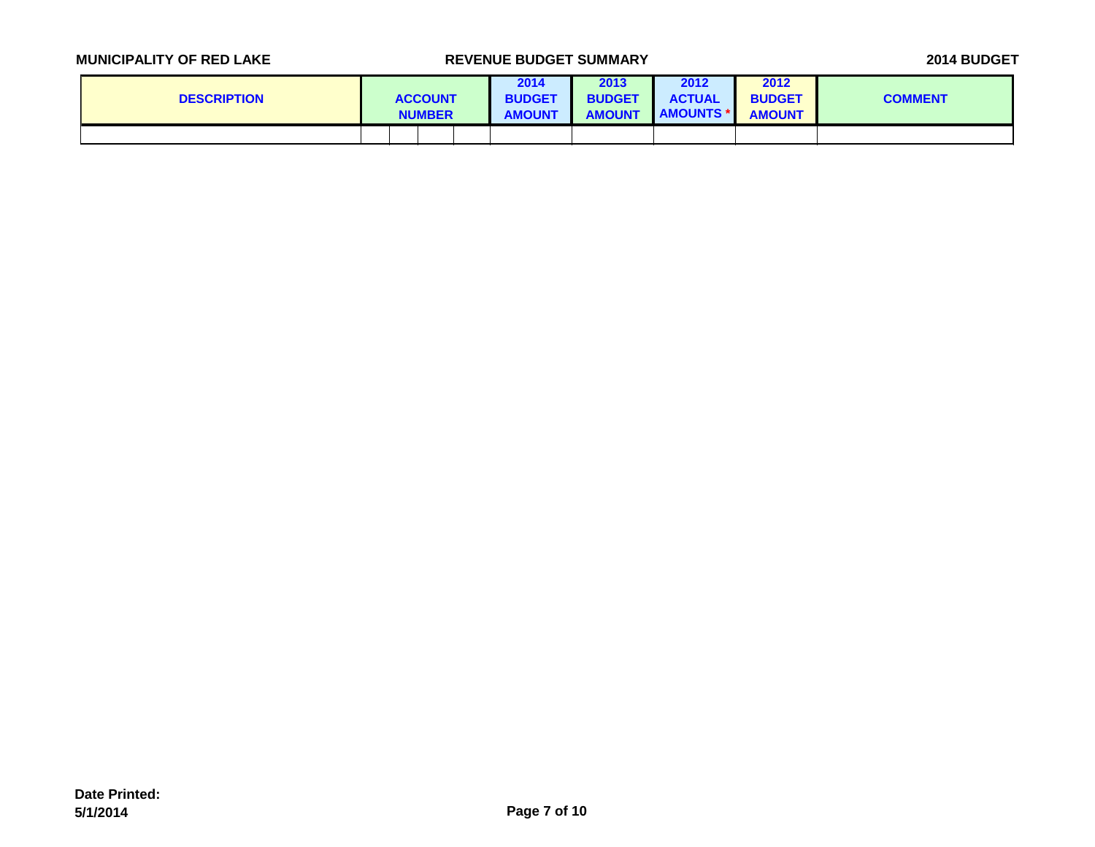| <b>DESCRIPTION</b> |  | <b>ACCOUNT</b><br><b>NUMBER</b> | 2014<br><b>BUDGET</b><br><b>AMOUNT</b> | 2013<br><b>BUDGET</b><br><b>AMOUNT</b> | 2012<br><b>ACTUAL</b><br><b>AMOUNTS *</b> | 2012<br><b>BUDGET</b><br><b>AMOUNT</b> | <b>COMMENT</b> |
|--------------------|--|---------------------------------|----------------------------------------|----------------------------------------|-------------------------------------------|----------------------------------------|----------------|
|                    |  |                                 |                                        |                                        |                                           |                                        |                |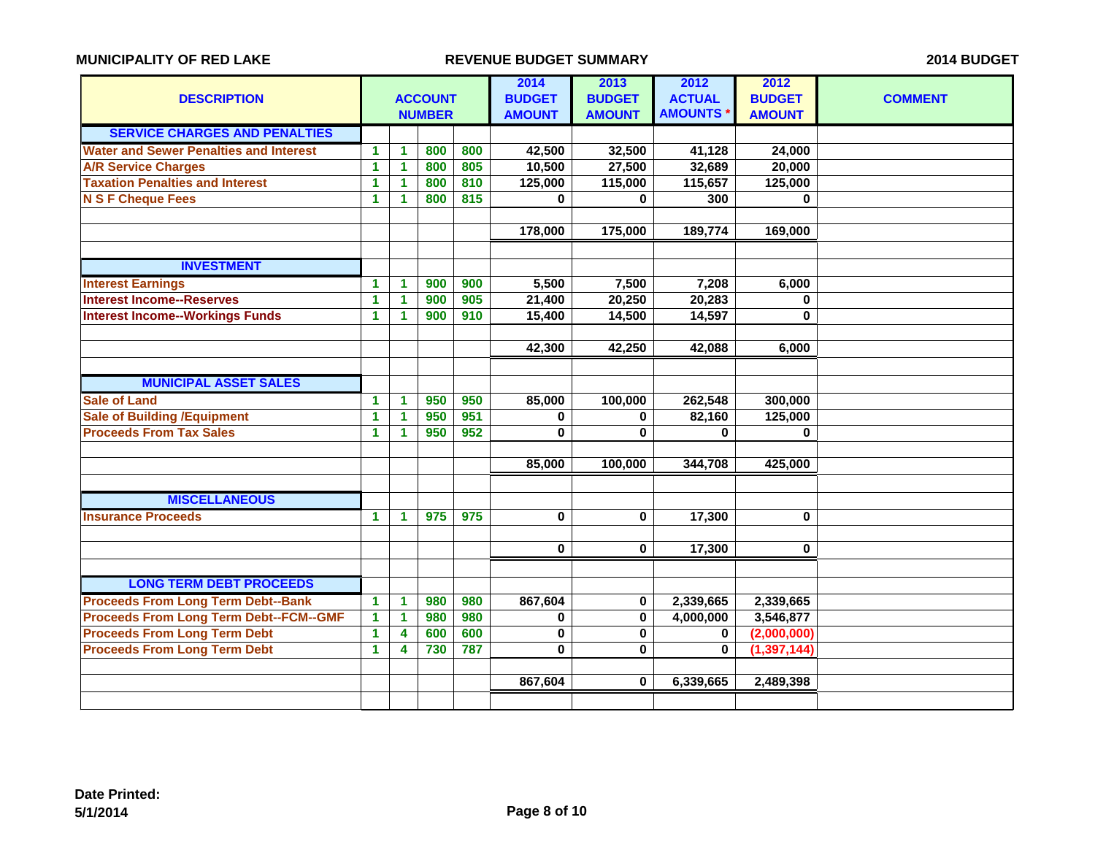| <b>DESCRIPTION</b>                            |              |                      | <b>ACCOUNT</b><br><b>NUMBER</b> |     | 2014<br><b>BUDGET</b><br><b>AMOUNT</b> | 2013<br><b>BUDGET</b><br><b>AMOUNT</b> | 2012<br><b>ACTUAL</b><br><b>AMOUNTS</b> | 2012<br><b>BUDGET</b><br><b>AMOUNT</b> | <b>COMMENT</b> |
|-----------------------------------------------|--------------|----------------------|---------------------------------|-----|----------------------------------------|----------------------------------------|-----------------------------------------|----------------------------------------|----------------|
| <b>SERVICE CHARGES AND PENALTIES</b>          |              |                      |                                 |     |                                        |                                        |                                         |                                        |                |
| <b>Water and Sewer Penalties and Interest</b> | 1            | $\mathbf{1}$         | 800                             | 800 | 42,500                                 | 32,500                                 | 41,128                                  | 24,000                                 |                |
| <b>A/R Service Charges</b>                    | 1            | $\mathbf{1}$         | 800                             | 805 | 10,500                                 | 27,500                                 | 32,689                                  | 20,000                                 |                |
| <b>Taxation Penalties and Interest</b>        | 1            | 1                    | 800                             | 810 | 125,000                                | 115,000                                | 115,657                                 | 125,000                                |                |
| <b>N S F Cheque Fees</b>                      | 1            | $\mathbf{1}$         | 800                             | 815 | $\bf{0}$                               | $\mathbf{0}$                           | 300                                     | $\mathbf{0}$                           |                |
|                                               |              |                      |                                 |     |                                        |                                        |                                         |                                        |                |
|                                               |              |                      |                                 |     | 178,000                                | 175,000                                | 189,774                                 | 169,000                                |                |
|                                               |              |                      |                                 |     |                                        |                                        |                                         |                                        |                |
| <b>INVESTMENT</b>                             |              |                      |                                 |     |                                        |                                        |                                         |                                        |                |
| <b>Interest Earnings</b>                      | 1            | $\mathbf{1}$         | 900                             | 900 | 5,500                                  | 7,500                                  | 7,208                                   | 6,000                                  |                |
| <b>Interest Income--Reserves</b>              | 1            | $\mathbf{1}$         | 900                             | 905 | 21,400                                 | 20,250                                 | 20,283                                  | $\mathbf{0}$                           |                |
| <b>Interest Income--Workings Funds</b>        | 1.           | $\blacktriangleleft$ | 900                             | 910 | 15,400                                 | 14,500                                 | 14,597                                  | 0                                      |                |
|                                               |              |                      |                                 |     |                                        |                                        |                                         |                                        |                |
|                                               |              |                      |                                 |     | 42,300                                 | 42,250                                 | 42,088                                  | 6,000                                  |                |
|                                               |              |                      |                                 |     |                                        |                                        |                                         |                                        |                |
| <b>MUNICIPAL ASSET SALES</b>                  |              |                      |                                 |     |                                        |                                        |                                         |                                        |                |
| <b>Sale of Land</b>                           | 1.           | 1                    | 950                             | 950 | 85,000                                 | 100,000                                | 262,548                                 | 300,000                                |                |
| <b>Sale of Building / Equipment</b>           | 1            | $\mathbf{1}$         | 950                             | 951 | 0                                      | 0                                      | 82,160                                  | 125,000                                |                |
| <b>Proceeds From Tax Sales</b>                | $\mathbf{1}$ | 1                    | 950                             | 952 | 0                                      | $\bf{0}$                               | $\bf{0}$                                | 0                                      |                |
|                                               |              |                      |                                 |     |                                        |                                        |                                         |                                        |                |
|                                               |              |                      |                                 |     | 85,000                                 | 100,000                                | 344,708                                 | 425,000                                |                |
|                                               |              |                      |                                 |     |                                        |                                        |                                         |                                        |                |
| <b>MISCELLANEOUS</b>                          |              |                      |                                 |     |                                        |                                        |                                         |                                        |                |
| <b>Insurance Proceeds</b>                     | 1            | $\mathbf{1}$         | 975                             | 975 | 0                                      | $\mathbf 0$                            | 17,300                                  | $\bf{0}$                               |                |
|                                               |              |                      |                                 |     |                                        |                                        |                                         |                                        |                |
|                                               |              |                      |                                 |     | $\mathbf 0$                            | $\mathbf 0$                            | 17,300                                  | $\bf{0}$                               |                |
|                                               |              |                      |                                 |     |                                        |                                        |                                         |                                        |                |
| <b>LONG TERM DEBT PROCEEDS</b>                |              |                      |                                 |     |                                        |                                        |                                         |                                        |                |
| <b>Proceeds From Long Term Debt--Bank</b>     | 1            | $\mathbf{1}$         | 980                             | 980 | 867,604                                | $\bf{0}$                               | 2,339,665                               | 2,339,665                              |                |
| <b>Proceeds From Long Term Debt--FCM--GMF</b> | 1            | $\mathbf{1}$         | 980                             | 980 | $\mathbf 0$                            | $\mathbf 0$                            | 4,000,000                               | 3,546,877                              |                |
| <b>Proceeds From Long Term Debt</b>           | 1            | 4                    | 600                             | 600 | $\pmb{0}$                              | $\mathbf 0$                            | 0                                       | (2,000,000)                            |                |
| <b>Proceeds From Long Term Debt</b>           | $\mathbf{1}$ | 4                    | 730                             | 787 | $\mathbf 0$                            | $\bf{0}$                               | $\bf{0}$                                | (1, 397, 144)                          |                |
|                                               |              |                      |                                 |     |                                        |                                        |                                         |                                        |                |
|                                               |              |                      |                                 |     | 867,604                                | $\bf{0}$                               | 6,339,665                               | 2,489,398                              |                |
|                                               |              |                      |                                 |     |                                        |                                        |                                         |                                        |                |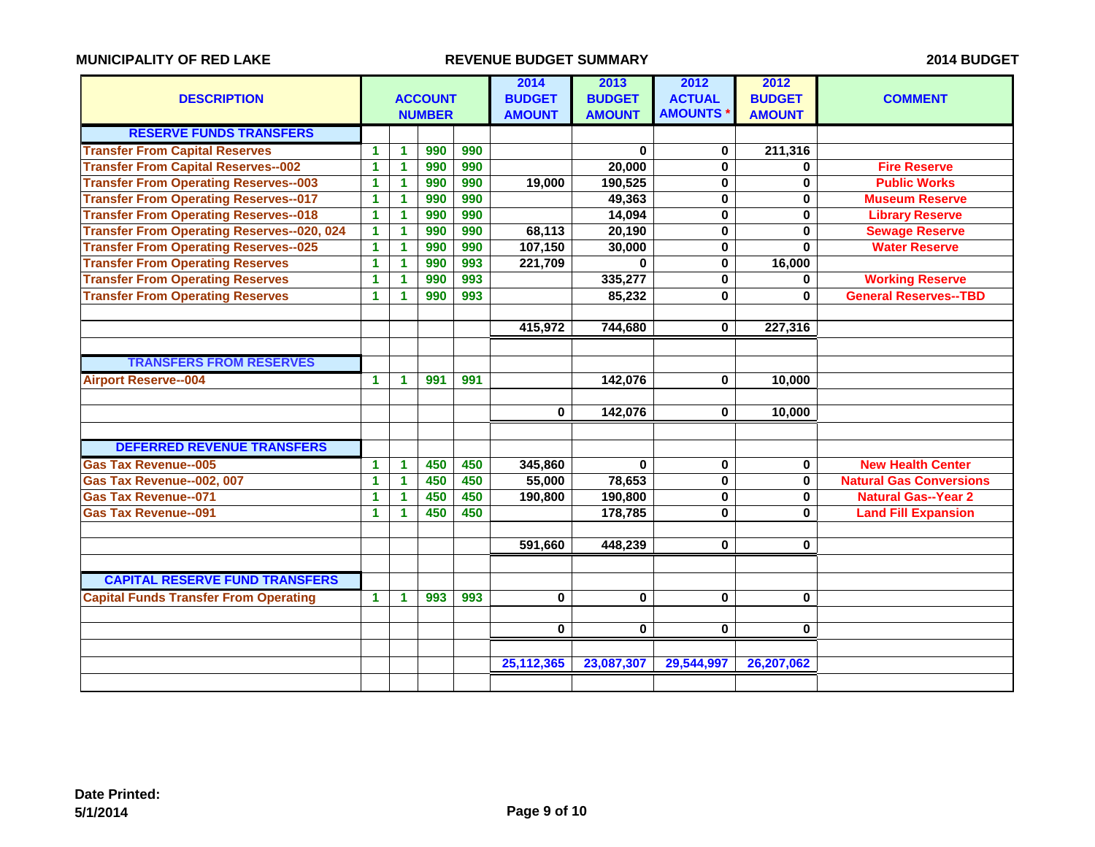|                                                   |                      |                      |                |     | 2014          | 2013          | 2012           | 2012          |                                |
|---------------------------------------------------|----------------------|----------------------|----------------|-----|---------------|---------------|----------------|---------------|--------------------------------|
| <b>DESCRIPTION</b>                                |                      |                      | <b>ACCOUNT</b> |     | <b>BUDGET</b> | <b>BUDGET</b> | <b>ACTUAL</b>  | <b>BUDGET</b> | <b>COMMENT</b>                 |
|                                                   |                      |                      | <b>NUMBER</b>  |     | <b>AMOUNT</b> | <b>AMOUNT</b> | <b>AMOUNTS</b> | <b>AMOUNT</b> |                                |
| <b>RESERVE FUNDS TRANSFERS</b>                    |                      |                      |                |     |               |               |                |               |                                |
| <b>Transfer From Capital Reserves</b>             | 1.                   | $\mathbf{1}$         | 990            | 990 |               | $\bf{0}$      | 0              | 211,316       |                                |
| <b>Transfer From Capital Reserves--002</b>        | 1                    | 1                    | 990            | 990 |               | 20,000        | $\bf{0}$       | $\mathbf{0}$  | <b>Fire Reserve</b>            |
| <b>Transfer From Operating Reserves--003</b>      | $\blacktriangleleft$ | $\blacktriangleleft$ | 990            | 990 | 19,000        | 190,525       | $\bf{0}$       | $\bf{0}$      | <b>Public Works</b>            |
| <b>Transfer From Operating Reserves--017</b>      | $\mathbf{1}$         | $\blacktriangleleft$ | 990            | 990 |               | 49,363        | $\mathbf 0$    | $\mathbf 0$   | <b>Museum Reserve</b>          |
| <b>Transfer From Operating Reserves--018</b>      | $\mathbf{1}$         | $\mathbf{1}$         | 990            | 990 |               | 14,094        | $\mathbf{0}$   | $\mathbf 0$   | <b>Library Reserve</b>         |
| <b>Transfer From Operating Reserves--020, 024</b> | 1                    | 1                    | 990            | 990 | 68,113        | 20,190        | $\bf{0}$       | $\bf{0}$      | <b>Sewage Reserve</b>          |
| <b>Transfer From Operating Reserves--025</b>      | $\blacktriangleleft$ | $\blacktriangleleft$ | 990            | 990 | 107,150       | 30,000        | $\mathbf{0}$   | $\bf{0}$      | <b>Water Reserve</b>           |
| <b>Transfer From Operating Reserves</b>           | $\mathbf{1}$         | $\mathbf{1}$         | 990            | 993 | 221,709       | $\bf{0}$      | $\mathbf 0$    | 16,000        |                                |
| <b>Transfer From Operating Reserves</b>           | 1                    | 1                    | 990            | 993 |               | 335,277       | $\mathbf{0}$   | $\mathbf{0}$  | <b>Working Reserve</b>         |
| <b>Transfer From Operating Reserves</b>           | 1                    | 1                    | 990            | 993 |               | 85,232        | $\bf{0}$       | $\bf{0}$      | <b>General Reserves--TBD</b>   |
|                                                   |                      |                      |                |     |               |               |                |               |                                |
|                                                   |                      |                      |                |     | 415,972       | 744,680       | $\bf{0}$       | 227,316       |                                |
|                                                   |                      |                      |                |     |               |               |                |               |                                |
| <b>TRANSFERS FROM RESERVES</b>                    |                      |                      |                |     |               |               |                |               |                                |
| <b>Airport Reserve--004</b>                       | 1                    | 1                    | 991            | 991 |               | 142,076       | $\bf{0}$       | 10,000        |                                |
|                                                   |                      |                      |                |     |               |               |                |               |                                |
|                                                   |                      |                      |                |     | $\mathbf 0$   | 142,076       | $\bf{0}$       | 10,000        |                                |
|                                                   |                      |                      |                |     |               |               |                |               |                                |
| <b>DEFERRED REVENUE TRANSFERS</b>                 |                      |                      |                |     |               |               |                |               |                                |
| <b>Gas Tax Revenue--005</b>                       | 1                    | $\mathbf{1}$         | 450            | 450 | 345,860       | $\bf{0}$      | $\bf{0}$       | $\mathbf 0$   | <b>New Health Center</b>       |
| Gas Tax Revenue--002, 007                         | 1                    | 1                    | 450            | 450 | 55,000        | 78,653        | 0              | $\mathbf 0$   | <b>Natural Gas Conversions</b> |
| <b>Gas Tax Revenue--071</b>                       | 1                    | $\blacktriangleleft$ | 450            | 450 | 190,800       | 190,800       | $\bf{0}$       | $\mathbf 0$   | <b>Natural Gas--Year 2</b>     |
| <b>Gas Tax Revenue--091</b>                       | $\blacktriangleleft$ | 1                    | 450            | 450 |               | 178,785       | $\bf{0}$       | $\bf{0}$      | <b>Land Fill Expansion</b>     |
|                                                   |                      |                      |                |     |               |               |                |               |                                |
|                                                   |                      |                      |                |     | 591,660       | 448,239       | $\mathbf{0}$   | $\mathbf 0$   |                                |
|                                                   |                      |                      |                |     |               |               |                |               |                                |
| <b>CAPITAL RESERVE FUND TRANSFERS</b>             |                      |                      |                |     |               |               |                |               |                                |
| <b>Capital Funds Transfer From Operating</b>      | $\blacktriangleleft$ | $\blacktriangleleft$ | 993            | 993 | $\mathbf{0}$  | $\mathbf{0}$  | $\bf{0}$       | $\mathbf 0$   |                                |
|                                                   |                      |                      |                |     |               |               |                |               |                                |
|                                                   |                      |                      |                |     | $\mathbf 0$   | $\mathbf 0$   | $\bf{0}$       | $\bf{0}$      |                                |
|                                                   |                      |                      |                |     |               |               |                |               |                                |
|                                                   |                      |                      |                |     | 25,112,365    | 23,087,307    | 29,544,997     | 26,207,062    |                                |
|                                                   |                      |                      |                |     |               |               |                |               |                                |